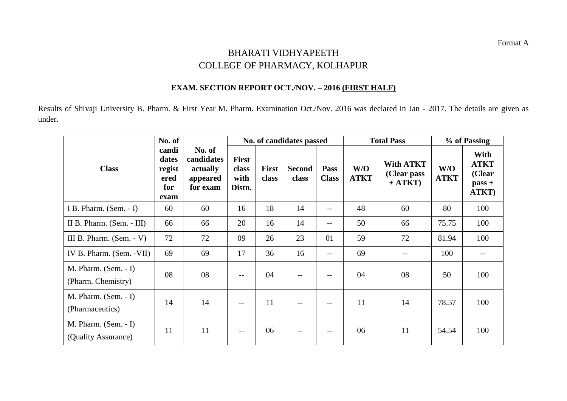## BHARATI VIDHYAPEETH COLLEGE OF PHARMACY, KOLHAPUR

## **EXAM. SECTION REPORT OCT./NOV. – 2016 (FIRST HALF)**

Results of Shivaji University B. Pharm. & First Year M. Pharm. Examination Oct./Nov. 2016 was declared in Jan - 2017. The details are given as under.

|                                               | No. of                                          |                                                          | No. of candidates passed                |                       |                        |                             |                    | <b>Total Pass</b>                            | % of Passing       |                                                    |
|-----------------------------------------------|-------------------------------------------------|----------------------------------------------------------|-----------------------------------------|-----------------------|------------------------|-----------------------------|--------------------|----------------------------------------------|--------------------|----------------------------------------------------|
| <b>Class</b>                                  | candi<br>dates<br>regist<br>ered<br>for<br>exam | No. of<br>candidates<br>actually<br>appeared<br>for exam | <b>First</b><br>class<br>with<br>Distn. | <b>First</b><br>class | <b>Second</b><br>class | <b>Pass</b><br><b>Class</b> | W/O<br><b>ATKT</b> | <b>With ATKT</b><br>(Clear pass<br>$+ ATKT)$ | W/O<br><b>ATKT</b> | With<br><b>ATKT</b><br>(Clear<br>$pass +$<br>ATKT) |
| I B. Pharm. (Sem. - I)                        | 60                                              | 60                                                       | 16                                      | 18                    | 14                     | --                          | 48                 | 60                                           | 80                 | 100                                                |
| II B. Pharm. (Sem. - III)                     | 66                                              | 66                                                       | 20                                      | 16                    | 14                     | --                          | 50                 | 66                                           | 75.75              | 100                                                |
| III B. Pharm. $(Sem. - V)$                    | 72                                              | 72                                                       | 09                                      | 26                    | 23                     | 01                          | 59                 | 72                                           | 81.94              | 100                                                |
| IV B. Pharm. (Sem. - VII)                     | 69                                              | 69                                                       | 17                                      | 36                    | 16                     | $-$                         | 69                 |                                              | 100                |                                                    |
| M. Pharm. $(Sem. - I)$<br>(Pharm. Chemistry)  | 08                                              | 08                                                       | --                                      | 04                    |                        |                             | 04                 | 08                                           | 50                 | 100                                                |
| $M.$ Pharm. (Sem. - I)<br>(Pharmaceutics)     | 14                                              | 14                                                       | $- -$                                   | 11                    |                        |                             | 11                 | 14                                           | 78.57              | 100                                                |
| $M.$ Pharm. (Sem. - I)<br>(Quality Assurance) | 11                                              | 11                                                       |                                         | 06                    |                        |                             | 06                 | 11                                           | 54.54              | 100                                                |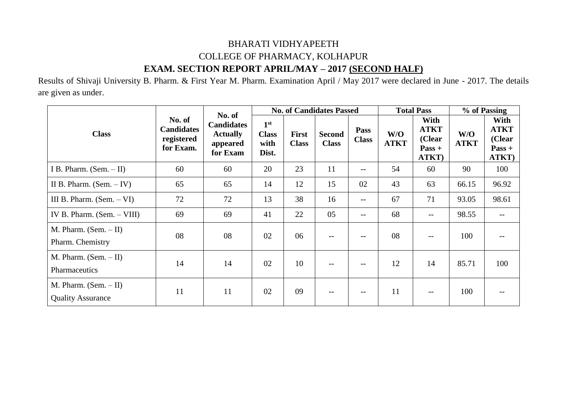## BHARATI VIDHYAPEETH COLLEGE OF PHARMACY, KOLHAPUR **EXAM. SECTION REPORT APRIL/MAY – 2017 (SECOND HALF)**

Results of Shivaji University B. Pharm. & First Year M. Pharm. Examination April / May 2017 were declared in June - 2017. The details are given as under.

| <b>Class</b>                                        |                                                        | No. of<br><b>Candidates</b><br><b>Actually</b><br>appeared<br>for Exam |                                                  |                              | <b>No. of Candidates Passed</b> |                             | <b>Total Pass</b>  |                                                    | % of Passing       |                                                    |
|-----------------------------------------------------|--------------------------------------------------------|------------------------------------------------------------------------|--------------------------------------------------|------------------------------|---------------------------------|-----------------------------|--------------------|----------------------------------------------------|--------------------|----------------------------------------------------|
|                                                     | No. of<br><b>Candidates</b><br>registered<br>for Exam. |                                                                        | 1 <sup>st</sup><br><b>Class</b><br>with<br>Dist. | <b>First</b><br><b>Class</b> | <b>Second</b><br><b>Class</b>   | <b>Pass</b><br><b>Class</b> | W/O<br><b>ATKT</b> | With<br><b>ATKT</b><br>(Clear<br>$Pass +$<br>ATKT) | W/O<br><b>ATKT</b> | With<br><b>ATKT</b><br>(Clear<br>$Pass +$<br>ATKT) |
| I B. Pharm. $(Sem. - II)$                           | 60                                                     | 60                                                                     | 20                                               | 23                           | 11                              | --                          | 54                 | 60                                                 | 90                 | 100                                                |
| II B. Pharm. $(Sem. - IV)$                          | 65                                                     | 65                                                                     | 14                                               | 12                           | 15                              | 02                          | 43                 | 63                                                 | 66.15              | 96.92                                              |
| III B. Pharm. $(Sem. - VI)$                         | 72                                                     | 72                                                                     | 13                                               | 38                           | 16                              | $--$                        | 67                 | 71                                                 | 93.05              | 98.61                                              |
| IV B. Pharm. $(Sem. - VIII)$                        | 69                                                     | 69                                                                     | 41                                               | 22                           | 05                              | $--$                        | 68                 | $- -$                                              | 98.55              |                                                    |
| M. Pharm. $(Sem. - II)$<br>Pharm. Chemistry         | 08                                                     | 08                                                                     | 02                                               | 06                           | $- -$                           | $\qquad \qquad -$           | 08                 | $- -$                                              | 100                |                                                    |
| M. Pharm. $(Sem. - II)$<br>Pharmaceutics            | 14                                                     | 14                                                                     | 02                                               | 10                           | $-$                             | $\qquad \qquad -$           | 12                 | 14                                                 | 85.71              | 100                                                |
| M. Pharm. $(Sem. - II)$<br><b>Quality Assurance</b> | 11                                                     | 11                                                                     | 02                                               | 09                           | $ -$                            | $- -$                       | 11                 | $-$                                                | 100                |                                                    |